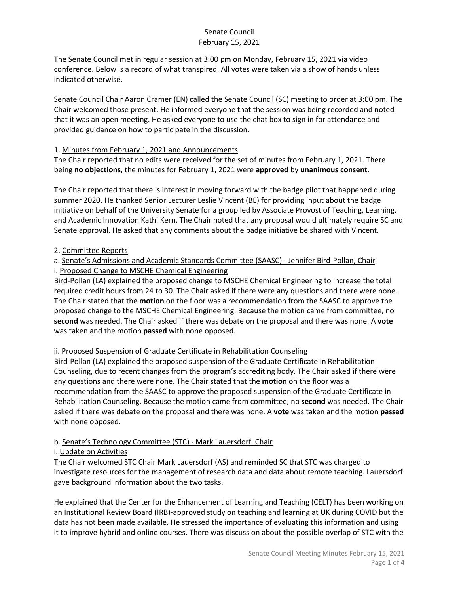The Senate Council met in regular session at 3:00 pm on Monday, February 15, 2021 via video conference. Below is a record of what transpired. All votes were taken via a show of hands unless indicated otherwise.

Senate Council Chair Aaron Cramer (EN) called the Senate Council (SC) meeting to order at 3:00 pm. The Chair welcomed those present. He informed everyone that the session was being recorded and noted that it was an open meeting. He asked everyone to use the chat box to sign in for attendance and provided guidance on how to participate in the discussion.

### 1. Minutes from February 1, 2021 and Announcements

The Chair reported that no edits were received for the set of minutes from February 1, 2021. There being **no objections**, the minutes for February 1, 2021 were **approved** by **unanimous consent**.

The Chair reported that there is interest in moving forward with the badge pilot that happened during summer 2020. He thanked Senior Lecturer Leslie Vincent (BE) for providing input about the badge initiative on behalf of the University Senate for a group led by Associate Provost of Teaching, Learning, and Academic Innovation Kathi Kern. The Chair noted that any proposal would ultimately require SC and Senate approval. He asked that any comments about the badge initiative be shared with Vincent.

### 2. Committee Reports

#### a. Senate's Admissions and Academic Standards Committee (SAASC) - Jennifer Bird-Pollan, Chair i. Proposed Change to MSCHE Chemical Engineering

Bird-Pollan (LA) explained the proposed change to MSCHE Chemical Engineering to increase the total required credit hours from 24 to 30. The Chair asked if there were any questions and there were none. The Chair stated that the **motion** on the floor was a recommendation from the SAASC to approve the proposed change to the MSCHE Chemical Engineering. Because the motion came from committee, no **second** was needed. The Chair asked if there was debate on the proposal and there was none. A **vote** was taken and the motion **passed** with none opposed.

### ii. Proposed Suspension of Graduate Certificate in Rehabilitation Counseling

Bird-Pollan (LA) explained the proposed suspension of the Graduate Certificate in Rehabilitation Counseling, due to recent changes from the program's accrediting body. The Chair asked if there were any questions and there were none. The Chair stated that the **motion** on the floor was a recommendation from the SAASC to approve the proposed suspension of the Graduate Certificate in Rehabilitation Counseling. Because the motion came from committee, no **second** was needed. The Chair asked if there was debate on the proposal and there was none. A **vote** was taken and the motion **passed** with none opposed.

### b. Senate's Technology Committee (STC) - Mark Lauersdorf, Chair

### i. Update on Activities

The Chair welcomed STC Chair Mark Lauersdorf (AS) and reminded SC that STC was charged to investigate resources for the management of research data and data about remote teaching. Lauersdorf gave background information about the two tasks.

He explained that the Center for the Enhancement of Learning and Teaching (CELT) has been working on an Institutional Review Board (IRB)-approved study on teaching and learning at UK during COVID but the data has not been made available. He stressed the importance of evaluating this information and using it to improve hybrid and online courses. There was discussion about the possible overlap of STC with the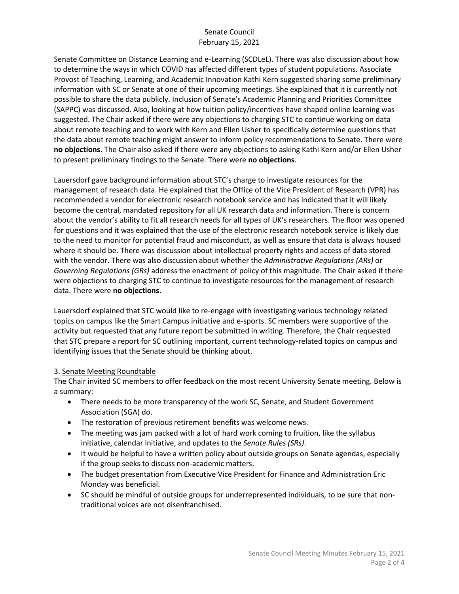Senate Committee on Distance Learning and e-Learning (SCDLeL). There was also discussion about how to determine the ways in which COVID has affected different types of student populations. Associate Provost of Teaching, Learning, and Academic Innovation Kathi Kern suggested sharing some preliminary information with SC or Senate at one of their upcoming meetings. She explained that it is currently not possible to share the data publicly. Inclusion of Senate's Academic Planning and Priorities Committee (SAPPC) was discussed. Also, looking at how tuition policy/incentives have shaped online learning was suggested. The Chair asked if there were any objections to charging STC to continue working on data about remote teaching and to work with Kern and Ellen Usher to specifically determine questions that the data about remote teaching might answer to inform policy recommendations to Senate. There were **no objections**. The Chair also asked if there were any objections to asking Kathi Kern and/or Ellen Usher to present preliminary findings to the Senate. There were **no objections**.

Lauersdorf gave background information about STC's charge to investigate resources for the management of research data. He explained that the Office of the Vice President of Research (VPR) has recommended a vendor for electronic research notebook service and has indicated that it will likely become the central, mandated repository for all UK research data and information. There is concern about the vendor's ability to fit all research needs for all types of UK's researchers. The floor was opened for questions and it was explained that the use of the electronic research notebook service is likely due to the need to monitor for potential fraud and misconduct, as well as ensure that data is always housed where it should be. There was discussion about intellectual property rights and access of data stored with the vendor. There was also discussion about whether the *Administrative Regulations (ARs)* or *Governing Regulations (GRs)* address the enactment of policy of this magnitude. The Chair asked if there were objections to charging STC to continue to investigate resources for the management of research data. There were **no objections**.

Lauersdorf explained that STC would like to re-engage with investigating various technology related topics on campus like the Smart Campus initiative and e-sports. SC members were supportive of the activity but requested that any future report be submitted in writing. Therefore, the Chair requested that STC prepare a report for SC outlining important, current technology-related topics on campus and identifying issues that the Senate should be thinking about.

### 3. Senate Meeting Roundtable

The Chair invited SC members to offer feedback on the most recent University Senate meeting. Below is a summary:

- There needs to be more transparency of the work SC, Senate, and Student Government Association (SGA) do.
- The restoration of previous retirement benefits was welcome news.
- The meeting was jam packed with a lot of hard work coming to fruition, like the syllabus initiative, calendar initiative, and updates to the *Senate Rules (SRs)*.
- It would be helpful to have a written policy about outside groups on Senate agendas, especially if the group seeks to discuss non-academic matters.
- The budget presentation from Executive Vice President for Finance and Administration Eric Monday was beneficial.
- SC should be mindful of outside groups for underrepresented individuals, to be sure that nontraditional voices are not disenfranchised.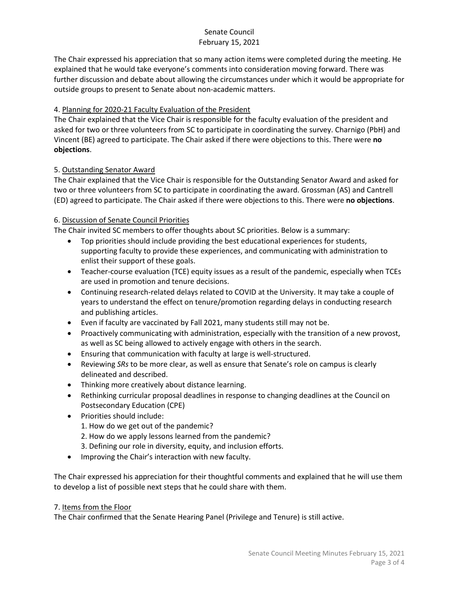The Chair expressed his appreciation that so many action items were completed during the meeting. He explained that he would take everyone's comments into consideration moving forward. There was further discussion and debate about allowing the circumstances under which it would be appropriate for outside groups to present to Senate about non-academic matters.

# 4. Planning for 2020-21 Faculty Evaluation of the President

The Chair explained that the Vice Chair is responsible for the faculty evaluation of the president and asked for two or three volunteers from SC to participate in coordinating the survey. Charnigo (PbH) and Vincent (BE) agreed to participate. The Chair asked if there were objections to this. There were **no objections**.

### 5. Outstanding Senator Award

The Chair explained that the Vice Chair is responsible for the Outstanding Senator Award and asked for two or three volunteers from SC to participate in coordinating the award. Grossman (AS) and Cantrell (ED) agreed to participate. The Chair asked if there were objections to this. There were **no objections**.

### 6. Discussion of Senate Council Priorities

The Chair invited SC members to offer thoughts about SC priorities. Below is a summary:

- Top priorities should include providing the best educational experiences for students, supporting faculty to provide these experiences, and communicating with administration to enlist their support of these goals.
- Teacher-course evaluation (TCE) equity issues as a result of the pandemic, especially when TCEs are used in promotion and tenure decisions.
- Continuing research-related delays related to COVID at the University. It may take a couple of years to understand the effect on tenure/promotion regarding delays in conducting research and publishing articles.
- Even if faculty are vaccinated by Fall 2021, many students still may not be.
- Proactively communicating with administration, especially with the transition of a new provost, as well as SC being allowed to actively engage with others in the search.
- Ensuring that communication with faculty at large is well-structured.
- Reviewing *SRs* to be more clear, as well as ensure that Senate's role on campus is clearly delineated and described.
- Thinking more creatively about distance learning.
- Rethinking curricular proposal deadlines in response to changing deadlines at the Council on Postsecondary Education (CPE)
- Priorities should include:
	- 1. How do we get out of the pandemic?
	- 2. How do we apply lessons learned from the pandemic?
	- 3. Defining our role in diversity, equity, and inclusion efforts.
- Improving the Chair's interaction with new faculty.

The Chair expressed his appreciation for their thoughtful comments and explained that he will use them to develop a list of possible next steps that he could share with them.

### 7. Items from the Floor

The Chair confirmed that the Senate Hearing Panel (Privilege and Tenure) is still active.